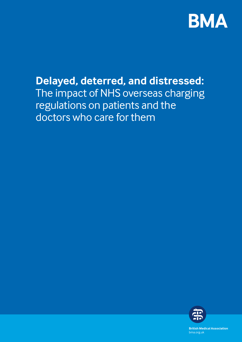

# **Delayed, deterred, and distressed:**  The impact of NHS overseas charging regulations on patients and the doctors who care for them



**British Medical Association** bma.org.uk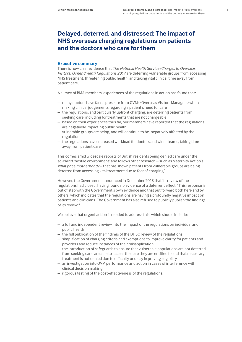# **Delayed, deterred, and distressed: The impact of NHS overseas charging regulations on patients and the doctors who care for them**

# **Executive summary**

There is now clear evidence that *The National Health Service (Charges to Overseas Visitors) (Amendment) Regulations 2017* are deterring vulnerable groups from accessing NHS treatment, threatening public health, and taking vital clinical time away from patient care.

A survey of BMA members' experiences of the regulations in action has found that:

- many doctors have faced pressure from OVMs (Overseas Visitors Managers) when making clinical judgements regarding a patient's need for care
- the regulations, and particularly upfront charging, are deterring patients from seeking care, including for treatments that are not chargeable
- based on their experiences thus far, our members have reported that the regulations are negatively impacting public health
- vulnerable groups are being, and will continue to be, negatively affected by the regulations
- the regulations have increased workload for doctors and wider teams, taking time away from patient care

This comes amid widescale reports of British residents being denied care under the so-called 'hostile environment' and follows other research – such as Maternity Action's *What price motherhood?* – that has shown patients from vulnerable groups are being deterred from accessing vital treatment due to fear of charging.<sup>1</sup>

However, the Government announced in December 2018 that its review of the regulations had closed, having found no evidence of a deterrent effect.<sup>2</sup> This response is out of step with the Government's own evidence and that put forward both here and by others, which indicates that the regulations are having a profoundly negative impact on patients and clinicians. The Government has also refused to publicly publish the findings of its review.3

We believe that urgent action is needed to address this, which should include:

- a full and independent review into the impact of the regulations on individual and public health
- the full publication of the findings of the DHSC review of the regulations
- simplification of charging criteria and exemptions to improve clarity for patients and providers and reduce instances of their misapplication
- the introduction of safeguards to ensure that vulnerable populations are not deterred from seeking care, are able to access the care they are entitled to and that necessary treatment is not denied due to difficulty or delay in proving eligibility
- an investigation into OVM performance and action in cases of interference with clinical decision making
- rigorous testing of the cost-effectiveness of the regulations.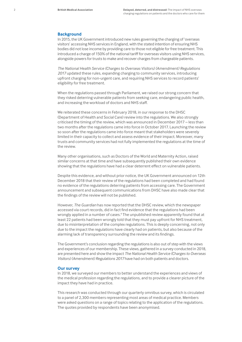### **Background**

In 2015, the UK Government introduced new rules governing the charging of 'overseas visitors' accessing NHS services in England, with the stated intention of ensuring NHS bodies did not lose income by providing care to those not eligible for free treatment. This introduced a charge of 150% of the national tariff for overseas visitors using NHS services, alongside powers for trusts to make and recover charges from chargeable patients.

*The National Health Service (Charges to Overseas Visitors) (Amendment) Regulations 2017* updated these rules, expanding charging to community services, introducing upfront charging for non-urgent care, and requiring NHS services to record patients' eligibility for free treatment.

When the regulations passed through Parliament, we raised our strong concern that they risked deterring vulnerable patients from seeking care, endangering public health, and increasing the workload of doctors and NHS staff.

We reiterated these concerns in February 2018, in our response to the DHSC (Department of Health and Social Care) review into the regulations. We also strongly criticised the timing of the review, which was announced in December 2017 – less than two months after the regulations came into force in October 2017. Launching the review so soon after the regulations came into force meant that stakeholders were severely limited in their capacity to collect and assess evidence of their impact. Moreover, many trusts and community services had not fully implemented the regulations at the time of the review.

Many other organisations, such as Doctors of the World and Maternity Action, raised similar concerns at that time and have subsequently published their own evidence showing that the regulations have had a clear deterrent effect on vulnerable patients.

Despite this evidence, and without prior notice, the UK Government announced on 12th December 2018 that their review of the regulations had been completed and had found no evidence of the regulations deterring patients from accessing care. The Government announcement and subsequent communications from DHSC have also made clear that the findings of the review will not be published.

However, *The Guardian* has now reported that the DHSC review, which the newspaper accessed via court records, did in fact find evidence that the regulations had been wrongly applied in a number of cases.<sup>4</sup> The unpublished review apparently found that at least 22 patients had been wrongly told that they must pay upfront for NHS treatment, due to misinterpretation of the complex regulations. This is deeply concerning, not only due to the impact the regulations have clearly had on patients, but also because of the alarming lack of transparency surrounding the review and its findings.

The Government's conclusion regarding the regulations is also out of step with the views and experiences of our membership. These views, gathered in a survey conducted in 2018, are presented here and show the impact *The National Health Service (Charges to Overseas Visitors) (Amendment) Regulations 2017* have had on both patients and doctors.

## **Our survey**

In 2018, we surveyed our members to better understand the experiences and views of the medical profession regarding the regulations, and to provide a clearer picture of the impact they have had in practice.

This research was conducted through our quarterly omnibus survey, which is circulated to a panel of 2,300 members representing most areas of medical practice. Members were asked questions on a range of topics relating to the application of the regulations. The quotes provided by respondents have been anonymised.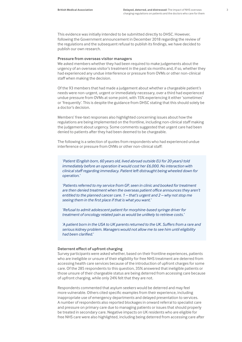This evidence was initially intended to be submitted directly to DHSC. However, following the Government announcement in December 2018 regarding the review of the regulations and the subsequent refusal to publish its findings, we have decided to publish our own research.

#### **Pressure from overseas visitor managers**

We asked members whether they had been required to make judgements about the urgency of an overseas visitor's treatment in the past six months and, if so, whether they had experienced any undue interference or pressure from OVMs or other non-clinical staff when making the decision.

Of the 93 members that had made a judgement about whether a chargeable patient's needs were non-urgent, urgent or immediately necessary, over a third had experienced undue pressure from OVMs at some point, with 15% experiencing it either 'sometimes' or 'frequently'. This is despite the guidance from DHSC stating that this should solely be a doctor's decision.

Members' free-text responses also highlighted concerning issues about how the regulations are being implemented on the frontline, including non-clinical staff making the judgement about urgency. Some comments suggested that urgent care had been denied to patients after they had been deemed to be chargeable.

The following is a selection of quotes from respondents who had experienced undue interference or pressure from OVMs or other non-clinical staff:

*'Patient (English born, 60 years old, lived abroad outside EU for 20 years) told immediately before an operation it would cost her £6,000. No interaction with clinical staff regarding immediacy. Patient left distraught being wheeled down for operation.'*

*'Patients referred to my service from GP, seen in clinic and booked for treatment are then denied treatment when the overseas patient office announces they aren't entitled to the planned cancer care. 1 – that's urgent and 2 – why not stop me seeing them in the first place if that is what you want.'*

*'Refusal to admit adolescent patient for morphine-based syringe driver for treatment of oncology related pain as would be unlikely to retrieve costs.'*

*'A patient born in the USA to UK parents returned to the UK. Suffers from a rare and serious kidney problem. Managers would not allow me to see him until eligibility had been clarified.'*

#### **Deterrent effect of upfront charging**

Survey participants were asked whether, based on their frontline experiences, patients who are ineligible or unsure of their eligibility for free NHS treatment are deterred from accessing health care services because of the introduction of upfront charges for some care. Of the 285 respondents to this question, 35% answered that ineligible patients or those unsure of their chargeable status are being deterred from accessing care because of upfront charging, while only 24% felt that they are not.

Respondents commented that asylum seekers would be deterred and may feel more vulnerable. Others cited specific examples from their experience, including inappropriate use of emergency departments and delayed presentation to services. A number of respondents also reported blockages in onward referral to specialist care and pressure on primary care due to managing patients or issues that should properly be treated in secondary care. Negative impacts on UK residents who are eligible for free NHS care were also highlighted, including being deterred from accessing care after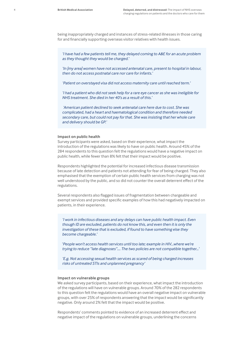being inappropriately charged and instances of stress-related illnesses in those caring for and financially supporting overseas visitor relatives with health issues.

*'I have had a few patients tell me, they delayed coming to A&E for an acute problem as they thought they would be charged.'*

*'In [my area] women have not accessed antenatal care, present to hospital in labour, then do not access postnatal care nor care for infants.'*

*'Patient on overstayed visa did not access maternity care until reached term.'*

*'I had a patient who did not seek help for a rare eye cancer as she was ineligible for NHS treatment. She died in her 40's as a result of this.'*

 *'American patient declined to seek antenatal care here due to cost. She was complicated, had a heart and haematological condition and therefore needed secondary care, but could not pay for that. She was insisting that her whole care and delivery should be GP.'*

## **Impact on public health**

Survey participants were asked, based on their experience, what impact the introduction of the regulations was likely to have on public health. Around 45% of the 284 respondents to this question felt the regulations would have a negative impact on public health, while fewer than 8% felt that their impact would be positive.

Respondents highlighted the potential for increased infectious disease transmission because of late detection and patients not attending for fear of being charged. They also emphasised that the exemption of certain public health services from charging was not well understood by the public, and so did not counter the overall deterrent effect of the regulations.

Several respondents also flagged issues of fragmentation between chargeable and exempt services and provided specific examples of how this had negatively impacted on patients, in their experience.

*'I work in infectious diseases and any delays can have public health impact. Even though ID are excluded, patients do not know this, and even then it is only the investigation of these that is excluded, if found to have something else they become chargeable.'*

'*People won't access health services until too late; example in HIV...where we're trying to reduce "late diagnoses".... The two policies are not compatible together…'*

*'E.g. Not accessing sexual health services as scared of being charged increases risks of untreated STIs and unplanned pregnancy'*

#### **Impact on vulnerable groups**

We asked survey participants, based on their experience, what impact the introduction of the regulations will have on vulnerable groups. Around 70% of the 282 respondents to this question felt the regulations would have an overall negative impact on vulnerable groups, with over 25% of respondents answering that the impact would be significantly negative. Only around 2% felt that the impact would be positive.

Respondents' comments pointed to evidence of an increased deterrent effect and negative impact of the regulations on vulnerable groups, underlining the concerns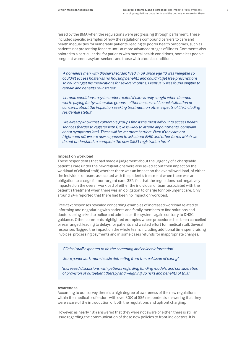raised by the BMA when the regulations were progressing through parliament. These included specific examples of how the regulations compound barriers to care and health inequalities for vulnerable patients, leading to poorer health outcomes, such as patients not presenting for care until at more advanced stages of illness. Comments also pointed to a particular risk for patients with mental health conditions, homeless people, pregnant women, asylum seekers and those with chronic conditions.

*'A homeless man with Bipolar Disorder, lived in UK since age 13 was ineligible so couldn't access hostel (as no housing benefit), and couldn't get free prescriptions so couldn't get his medications for several months. Eventually was found eligible to remain and benefits re-instated'*

*'chronic conditions may be under treated if care is only sought when deemed worth paying for by vulnerable groups - either because of financial situation or concerns about the impact on seeking treatment on other aspects of life including residential status'*

*'We already know that vulnerable groups find it the most difficult to access health services (harder to register with GP, less likely to attend appointments, complain about symptoms late). These will be yet more barriers. Even if they are not frightened off, we are now supposed to ask about EHIC and other forms which we do not understand to complete the new GMS1 registration form'*

#### **Impact on workload**

Those respondents that had made a judgement about the urgency of a chargeable patient's care under the new regulations were also asked about their impact on the workload of clinical staff; whether there was an impact on the overall workload, of either the individual or team, associated with the patient's treatment when there was an obligation to charge for non-urgent care. 35% felt that the regulations had negatively impacted on the overall workload of either the individual or team associated with the patient's treatment when there was an obligation to charge for non-urgent care. Only around 24% reported that there had been no impact on workload.

Free-text responses revealed concerning examples of increased workload related to informing and negotiating with patients and family members to find solutions and doctors being asked to police and administer the system, again contrary to DHSC guidance. Other comments highlighted examples where procedures had been cancelled or rearranged, leading to delays for patients and wasted effort for medical staff. Several responses flagged the impact on the whole team, including additional time spent raising invoices, processing payments and in some cases refunds for inappropriate charges.

*'Clinical staff expected to do the screening and collect information'*

*'More paperwork more hassle detracting from the real issue of caring'*

'*Increased discussions with patients regarding funding models, and consideration of provision of outpatient therapy and weighing up risks and benefits of this.'*

#### **Awareness**

According to our survey there is a high degree of awareness of the new regulations within the medical profession, with over 80% of 556 respondents answering that they were aware of the introduction of both the regulations and upfront charging.

However, as nearly 18% answered that they were not aware of either, there is still an issue regarding the communication of these new policies to frontline doctors. It is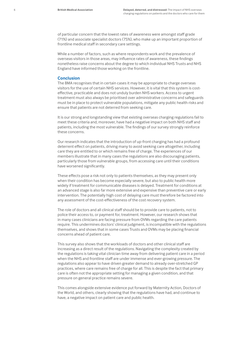of particular concern that the lowest rates of awareness were amongst staff grade (71%) and associate specialist doctors (75%), who make up an important proportion of frontline medical staff in secondary care settings.

While a number of factors, such as where respondents work and the prevalence of overseas visitors in those areas, may influence rates of awareness, these findings nonetheless raise concerns about the degree to which individual NHS Trusts and NHS England have informed those working on the frontline.

# **Conclusion**

The BMA recognises that in certain cases it may be appropriate to charge overseas visitors for the use of certain NHS services. However, it is vital that this system is costeffective, practicable and does not unduly burden NHS workers. Access to urgent treatment must also always be prioritised over administrative concerns and safeguards must be in place to protect vulnerable populations, mitigate any public health risks and ensure that patients are not deterred from seeking care.

It is our strong and longstanding view that existing overseas charging regulations fail to meet these criteria and, moreover, have had a negative impact on both NHS staff and patients, including the most vulnerable. The findings of our survey strongly reinforce these concerns.

Our research indicates that the introduction of up-front charging has had a profound deterrent effect on patients, driving many to avoid seeking care altogether, including care they are entitled to or which remains free of charge. The experiences of our members illustrate that in many cases the regulations are also discouraging patients, particularly those from vulnerable groups, from accessing care until their conditions have worsened significantly.

These effects pose a risk not only to patients themselves, as they may present only when their condition has become especially severe, but also to public health more widely if treatment for communicable diseases is delayed. Treatment for conditions at an advanced stage is also far more extensive and expensive than preventive care or early intervention. The potentially high cost of delaying care must therefore be factored into any assessment of the cost-effectiveness of the cost recovery system.

The role of doctors and all clinical staff should be to provide care to patients, not to police their access to, or payment for, treatment. However, our research shows that in many cases clinicians are facing pressure from OVMs regarding the care patients require. This undermines doctors' clinical judgment, is incompatible with the regulations themselves, and shows that in some cases Trusts and OVMs may be placing financial concerns ahead of patient care.

This survey also shows that the workloads of doctors and other clinical staff are increasing as a direct result of the regulations. Navigating the complexity created by the regulations is taking vital clinician time away from delivering patient care in a period when the NHS and frontline staff are under immense and ever-growing pressure. The regulations also appear to have driven greater demand to already over-stretched GP practices, where care remains free of charge for all. This is despite the fact that primary care is often not the appropriate setting for managing a given condition, and that pressure on general practice remains severe.

This comes alongside extensive evidence put forward by Maternity Action, Doctors of the World, and others, clearly showing that the regulations have had, and continue to have, a negative impact on patient care and public health.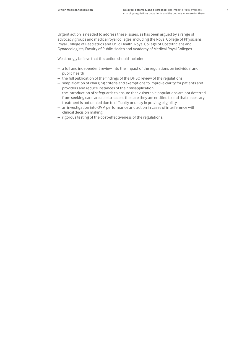Urgent action is needed to address these issues, as has been argued by a range of advocacy groups and medical royal colleges, including the Royal College of Physicians, Royal College of Paediatrics and Child Health, Royal College of Obstetricians and Gynaecologists, Faculty of Public Health and Academy of Medical Royal Colleges.

We strongly believe that this action should include:

- a full and independent review into the impact of the regulations on individual and public health
- the full publication of the findings of the DHSC review of the regulations
- simplification of charging criteria and exemptions to improve clarity for patients and providers and reduce instances of their misapplication
- the introduction of safeguards to ensure that vulnerable populations are not deterred from seeking care, are able to access the care they are entitled to and that necessary treatment is not denied due to difficulty or delay in proving eligibility
- an investigation into OVM performance and action in cases of interference with clinical decision making
- rigorous testing of the cost-effectiveness of the regulations.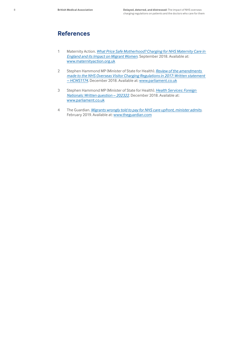# **References**

- 1 Maternity Action. *[What Price Safe Motherhood? Charging for NHS Maternity Care in](https://www.maternityaction.org.uk/wp-content/uploads/WhatPriceSafeMotherhoodFINAL.October.pdf)  [England and its Impact on Migrant Women](https://www.maternityaction.org.uk/wp-content/uploads/WhatPriceSafeMotherhoodFINAL.October.pdf)*. September 2018. Available at: [www.maternityaction.org.uk](http://www.maternityaction.org.uk)
- 2 Stephen Hammond MP (Minister of State for Health). *[Review of the amendments](https://www.parliament.uk/business/publications/written-questions-answers-statements/written-statement/Commons/2018-12-12/HCWS1174/)  [made to the NHS Overseas Visitor Charging Regulations in 2017: Written statement](https://www.parliament.uk/business/publications/written-questions-answers-statements/written-statement/Commons/2018-12-12/HCWS1174/)  [– HCWS1174](https://www.parliament.uk/business/publications/written-questions-answers-statements/written-statement/Commons/2018-12-12/HCWS1174/)*. December 2018. Available at: [www.parliament.co.uk](https://www.parliament.uk/)
- 3 Stephen Hammond MP (Minister of State for Health). *[Health Services: Foreign](https://www.parliament.uk/business/publications/written-questions-answers-statements/written-question/Commons/2018-12-14/202322/)  [Nationals: Written question – 202322](https://www.parliament.uk/business/publications/written-questions-answers-statements/written-question/Commons/2018-12-14/202322/)*. December 2018. Available at: [www.parliament.co.uk](https://www.parliament.uk/)
- 4 The Guardian. *[Migrants wrongly told to pay for NHS care upfront, minister admits](https://www.theguardian.com/society/2019/feb/17/migrants-wrongly-told-to-pay-for-nhs-care-upfront-minister-says)*. February 2019. Available at: [www.theguardian.com](http://www.theguardian.com)